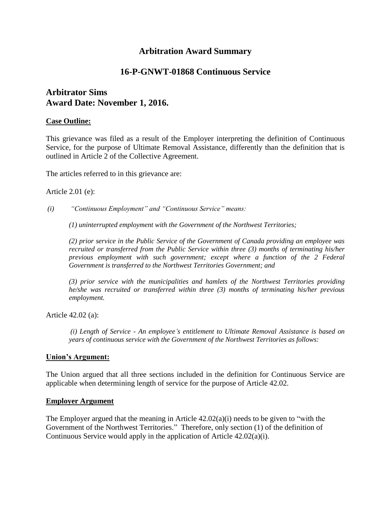# **Arbitration Award Summary**

# **16-P-GNWT-01868 Continuous Service**

# **Arbitrator Sims Award Date: November 1, 2016.**

#### **Case Outline:**

This grievance was filed as a result of the Employer interpreting the definition of Continuous Service, for the purpose of Ultimate Removal Assistance, differently than the definition that is outlined in Article 2 of the Collective Agreement.

The articles referred to in this grievance are:

Article 2.01 (e):

*(i) "Continuous Employment" and "Continuous Service" means:* 

*(1) uninterrupted employment with the Government of the Northwest Territories;*

*(2) prior service in the Public Service of the Government of Canada providing an employee was recruited or transferred from the Public Service within three (3) months of terminating his/her previous employment with such government; except where a function of the 2 Federal Government is transferred to the Northwest Territories Government; and* 

*(3) prior service with the municipalities and hamlets of the Northwest Territories providing he/she was recruited or transferred within three (3) months of terminating his/her previous employment.*

Article 42.02 (a):

*(i) Length of Service - An employee's entitlement to Ultimate Removal Assistance is based on years of continuous service with the Government of the Northwest Territories as follows:*

#### **Union's Argument:**

The Union argued that all three sections included in the definition for Continuous Service are applicable when determining length of service for the purpose of Article 42.02.

#### **Employer Argument**

The Employer argued that the meaning in Article  $42.02(a)(i)$  needs to be given to "with the Government of the Northwest Territories." Therefore, only section (1) of the definition of Continuous Service would apply in the application of Article 42.02(a)(i).